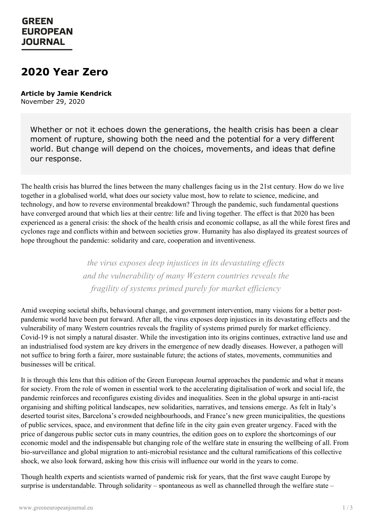## **GREEN EUROPEAN JOURNAL**

## **2020 Year Zero**

**Article by Jamie Kendrick** November 29, 2020

Whether or not it echoes down the generations, the health crisis has been a clear moment of rupture, showing both the need and the potential for a very different world. But change will depend on the choices, movements, and ideas that define our response.

The health crisis has blurred the lines between the many challenges facing us in the 21st century. How do we live together in a globalised world, what does our society value most, how to relate to science, medicine, and technology, and how to reverse environmental breakdown? Through the pandemic, such fundamental questions have converged around that which lies at their centre: life and living together. The effect is that 2020 has been experienced as a general crisis: the shock of the health crisis and economic collapse, as all the while forest fires and cyclones rage and conflicts within and between societies grow. Humanity has also displayed its greatest sources of hope throughout the pandemic: solidarity and care, cooperation and inventiveness.

> *the virus exposes deep injustices in its devastating ef ects and the vulnerability of many Western countries reveals the fragility of systems primed purely for market ef iciency*

Amid sweeping societal shifts, behavioural change, and government intervention, many visions for a better postpandemic world have been put forward. After all, the virus exposes deep injustices in its devastating effects and the vulnerability of many Western countries reveals the fragility of systems primed purely for market efficiency. Covid-19 is not simply a natural disaster. While the investigation into its origins continues, extractive land use and an industrialised food system are key drivers in the emergence of new deadly diseases. However, a pathogen will not suffice to bring forth a fairer, more sustainable future; the actions of states, movements, communities and businesses will be critical.

It is through this lens that this edition of the Green European Journal approaches the pandemic and what it means for society. From the role of women in essential work to the accelerating digitalisation of work and social life, the pandemic reinforces and reconfigures existing divides and inequalities. Seen in the global upsurge in anti-racist organising and shifting political landscapes, new solidarities, narratives, and tensions emerge. As felt in Italy's deserted tourist sites, Barcelona's crowded neighbourhoods, and France's new green municipalities, the questions of public services, space, and environment that define life in the city gain even greater urgency. Faced with the price of dangerous public sector cuts in many countries, the edition goes on to explore the shortcomings of our [economic](https://www.greeneuropeanjournal.eu) model and the indispensable but changing role of the welfare state in ensuring the wellbeing of all. From bio-surveillance and global migration to anti-microbial resistance and the cultural ramifications of this collective shock, we also look forward, asking how this crisis will influence our world in the years to come.

Though health experts and scientists warned of pandemic risk for years, that the first wave caught Europe by surprise is understandable. Through solidarity – spontaneous as well as channelled through the welfare state –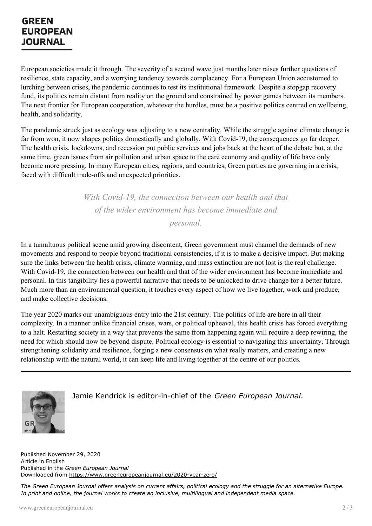## **GREEN EUROPEAN JOURNAL**

European societies made it through. The severity of a second wave just months later raises further questions of resilience, state capacity, and a worrying tendency towards complacency. For a European Union accustomed to lurching between crises, the pandemic continues to test its institutional framework. Despite a stopgap recovery fund, its politics remain distant from reality on the ground and constrained by power games between its members. The next frontier for European cooperation, whatever the hurdles, must be a positive politics centred on wellbeing, health, and solidarity.

The pandemic struck just as ecology was adjusting to a new centrality. While the struggle against climate change is far from won, it now shapes politics domestically and globally. With Covid-19, the consequences go far deeper. The health crisis, lockdowns, and recession put public services and jobs back at the heart of the debate but, at the same time, green issues from air pollution and urban space to the care economy and quality of life have only become more pressing. In many European cities, regions, and countries, Green parties are governing in a crisis, faced with difficult trade-offs and unexpected priorities.

> *With Covid-19, the connection between our health and that of the wider environment has become immediate and personal.*

In a tumultuous political scene amid growing discontent, Green government must channel the demands of new movements and respond to people beyond traditional consistencies, if it is to make a decisive impact. But making sure the links between the health crisis, climate warming, and mass extinction are not lost is the real challenge. With Covid-19, the connection between our health and that of the wider environment has become immediate and personal. In this tangibility lies a powerful narrative that needs to be unlocked to drive change for a better future. Much more than an environmental question, it touches every aspect of how we live together, work and produce, and make collective decisions.

The year 2020 marks our unambiguous entry into the 21st century. The politics of life are here in all their complexity. In a manner unlike financial crises, wars, or political upheaval, this health crisis has forced everything to a halt. Restarting society in a way that prevents the same from happening again will require a deep rewiring, the need for which should now be beyond dispute. Political ecology is essential to navigating this uncertainty. Through strengthening solidarity and resilience, forging a new consensus on what really matters, and creating a new relationship with the natural world, it can keep life and living together at the centre of our politics.



Jamie Kendrick is editor-in-chief of the *Green European Journal*.

Published November 29, 2020 Article in English Published in the *Green European Journal* Downloaded from <https://www.greeneuropeanjournal.eu/2020-year-zero/>

The Green European Journal offers analysis on current affairs, political ecology and the struggle for an alternative Europe. *In print and online, the journal works to create an inclusive, multilingual and independent media space.*